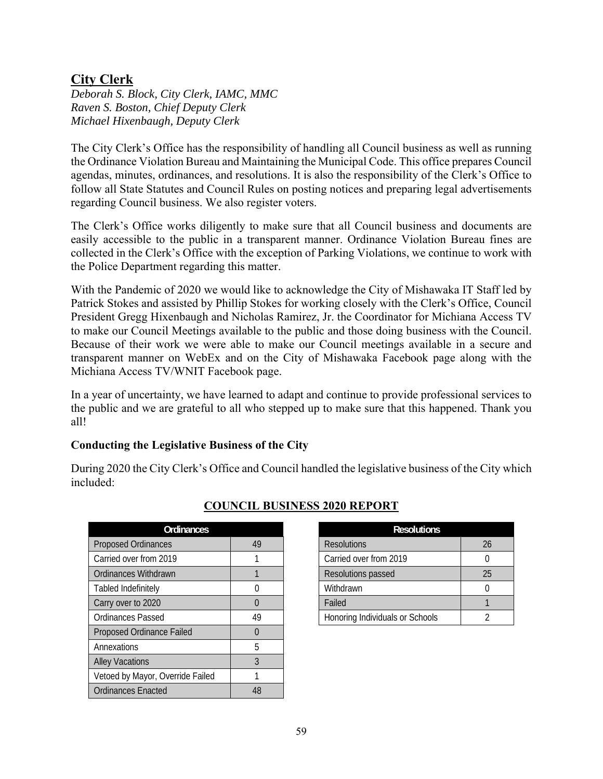## **City Clerk**

*Deborah S. Block, City Clerk, IAMC, MMC Raven S. Boston, Chief Deputy Clerk Michael Hixenbaugh, Deputy Clerk* 

The City Clerk's Office has the responsibility of handling all Council business as well as running the Ordinance Violation Bureau and Maintaining the Municipal Code. This office prepares Council agendas, minutes, ordinances, and resolutions. It is also the responsibility of the Clerk's Office to follow all State Statutes and Council Rules on posting notices and preparing legal advertisements regarding Council business. We also register voters.

The Clerk's Office works diligently to make sure that all Council business and documents are easily accessible to the public in a transparent manner. Ordinance Violation Bureau fines are collected in the Clerk's Office with the exception of Parking Violations, we continue to work with the Police Department regarding this matter.

With the Pandemic of 2020 we would like to acknowledge the City of Mishawaka IT Staff led by Patrick Stokes and assisted by Phillip Stokes for working closely with the Clerk's Office, Council President Gregg Hixenbaugh and Nicholas Ramirez, Jr. the Coordinator for Michiana Access TV to make our Council Meetings available to the public and those doing business with the Council. Because of their work we were able to make our Council meetings available in a secure and transparent manner on WebEx and on the City of Mishawaka Facebook page along with the Michiana Access TV/WNIT Facebook page.

In a year of uncertainty, we have learned to adapt and continue to provide professional services to the public and we are grateful to all who stepped up to make sure that this happened. Thank you all!

## **Conducting the Legislative Business of the City**

During 2020 the City Clerk's Office and Council handled the legislative business of the City which included:

| Ordinances                       |          | <b>Resolutions</b>              |          |
|----------------------------------|----------|---------------------------------|----------|
| <b>Proposed Ordinances</b>       | 49       | <b>Resolutions</b>              | 26       |
| Carried over from 2019           |          | Carried over from 2019          | $\theta$ |
| Ordinances Withdrawn             |          | Resolutions passed              | 25       |
| Tabled Indefinitely              | $\theta$ | Withdrawn                       | $\theta$ |
| Carry over to 2020               | $\Omega$ | Failed                          |          |
| Ordinances Passed                | 49       | Honoring Individuals or Schools | 2        |
| Proposed Ordinance Failed        | $\Omega$ |                                 |          |
| Annexations                      | 5        |                                 |          |
| <b>Alley Vacations</b>           | 3        |                                 |          |
| Vetoed by Mayor, Override Failed |          |                                 |          |
| <b>Ordinances Enacted</b>        | 48       |                                 |          |

## **COUNCIL BUSINESS 2020 REPORT**

| <b>Ordinances</b> |    | <b>Resolutions</b>              |  |  |
|-------------------|----|---------------------------------|--|--|
| es                | 49 | <b>Resolutions</b>              |  |  |
| 019               |    | Carried over from 2019          |  |  |
| ıwn               |    | Resolutions passed              |  |  |
|                   |    | Withdrawn                       |  |  |
|                   |    | Failed                          |  |  |
|                   | 49 | Honoring Individuals or Schools |  |  |